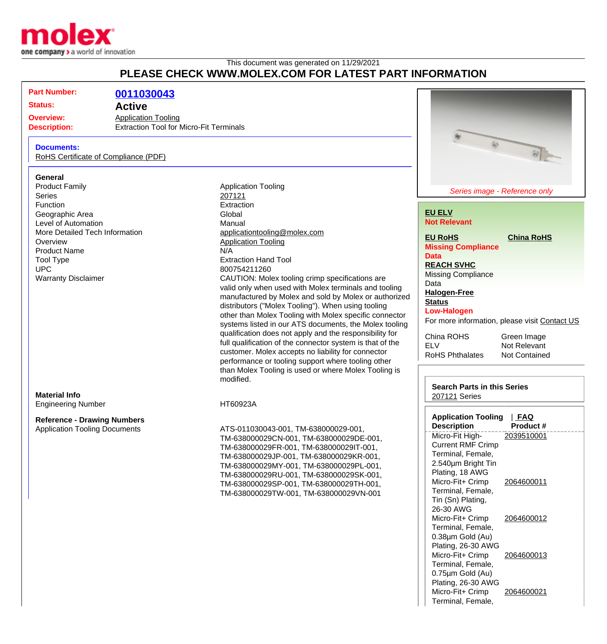

This document was generated on 11/29/2021

# **PLEASE CHECK WWW.MOLEX.COM FOR LATEST PART INFORMATION**

| Part Number: | 0011030043 |
|--------------|------------|

**Status: Active**

**Overview:** [Application Tooling](http://www.molex.com/molex/products/group?channel=products&key=application_tooling) **Description:** Extraction Tool for Micro-Fit Terminals

### **Documents:**

[RoHS Certificate of Compliance \(PDF\)](http://www.molex.com/datasheets/rohspdf/0011030043_rohs.pdf)

#### **General**

Product Family **Application Tooling Application Tooling** Series [207121](http://www.molex.com/molex/search/partSearch?query=207121&pQuery=) Function **Extraction** Geographic Area Global Level of Automation **Manual** More Detailed Tech Information [applicationtooling@molex.com](mailto:applicationtooling@molex.com) Overview **[Application Tooling](http://www.molex.com/molex/products/group?channel=products&key=application_tooling)** Product Name N/A Tool Type **Extraction Hand Tool** UPC 800754211260

**Material Info** Engineering Number HT60923A

# **Reference - Drawing Numbers**

Warranty Disclaimer **CAUTION:** Molex tooling crimp specifications are valid only when used with Molex terminals and tooling manufactured by Molex and sold by Molex or authorized distributors ("Molex Tooling"). When using tooling other than Molex Tooling with Molex specific connector systems listed in our ATS documents, the Molex tooling qualification does not apply and the responsibility for full qualification of the connector system is that of the customer. Molex accepts no liability for connector performance or tooling support where tooling other than Molex Tooling is used or where Molex Tooling is modified.

Application Tooling Documents ATS-011030043-001, TM-638000029-001, TM-638000029CN-001, TM-638000029DE-001, TM-638000029FR-001, TM-638000029IT-001, TM-638000029JP-001, TM-638000029KR-001, TM-638000029MY-001, TM-638000029PL-001, TM-638000029RU-001, TM-638000029SK-001, TM-638000029SP-001, TM-638000029TH-001, TM-638000029TW-001, TM-638000029VN-001



### **[EU ELV](http://www.molex.com/molex/common/staticLoader.jsp?fileName=/webcontent/literature/EU_RoHS.html#eurohs) Not Relevant**

**[EU RoHS](http://www.molex.com/molex/common/staticLoader.jsp?fileName=/webcontent/literature/EU_RoHS.html?section=eurohs#eurohs) [China RoHS](http://www.molex.com/molex/common/staticLoader.jsp?fileName=/webcontent/literature/EU_RoHS.html?section=china#china) Missing Compliance Data**

**[REACH SVHC](http://www.molex.com/molex/common/staticLoader.jsp?fileName=/webcontent/contact/reach.html)** Missing Compliance

Data

**[Halogen-Free](http://www.molex.com/molex/common/staticLoader.jsp?fileName=/webcontent/contact/halogen_free.html)**

**[Status](http://www.molex.com/molex/common/staticLoader.jsp?fileName=/webcontent/contact/halogen_free.html) Low-Halogen**

For more information, please visit [Contact US](http://www.molex.com/molex/contact/mxcontact.jsp?channel=Contact Us&channelId=-7)

| China ROHS             |  |
|------------------------|--|
| FI V                   |  |
| <b>RoHS Phthalates</b> |  |

Green Image Not Relevant **Not Contained** 

#### **Search Parts in this Series** [207121](http://www.molex.com/molex/search/partSearch?query=207121&pQuery=) Series

| <b>Application Tooling</b><br><b>FAQ</b> |            |  |
|------------------------------------------|------------|--|
| <b>Description</b>                       | Product#   |  |
| Micro-Fit High-                          | 2039510001 |  |
| <b>Current RMF Crimp</b>                 |            |  |
| Terminal, Female,                        |            |  |
| 2.540um Bright Tin                       |            |  |
| Plating, 18 AWG                          |            |  |
| Micro-Fit+ Crimp                         | 2064600011 |  |
| Terminal, Female,                        |            |  |
| Tin (Sn) Plating,                        |            |  |
| 26-30 AWG                                |            |  |
| Micro-Fit+ Crimp                         | 2064600012 |  |
| Terminal, Female,                        |            |  |
| 0.38µm Gold (Au)                         |            |  |
| Plating, 26-30 AWG                       |            |  |
| Micro-Fit+ Crimp                         | 2064600013 |  |
| Terminal, Female,                        |            |  |
| 0.75µm Gold (Au)                         |            |  |
| Plating, 26-30 AWG                       |            |  |
| Micro-Fit+ Crimp                         | 2064600021 |  |
| Terminal, Female,                        |            |  |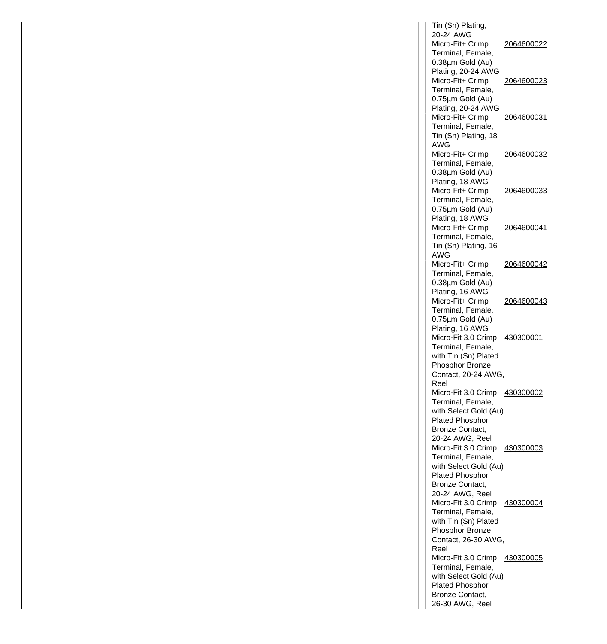Tin (Sn) Plating, 20-24 AWG Micro-Fit+ Crimp Terminal, Female, 0.38µm Gold (Au) Plating, 20-24 AWG 2064600022 Micro-Fit+ Crimp Terminal, Female, 0.75µm Gold (Au) Plating, 20-24 AWG 2064600023 Micro-Fit+ Crimp Terminal, Female, Tin (Sn) Plating, 18 AWG 2064600031 Micro-Fit+ Crimp Terminal, Female, 0.38µm Gold (Au) Plating, 18 AWG 2064600032 Micro-Fit+ Crimp Terminal, Female, 0.75µm Gold (Au) Plating, 18 AWG 2064600033 Micro-Fit+ Crimp Terminal, Female, Tin (Sn) Plating, 16 AWG 2064600041 Micro-Fit+ Crimp Terminal, Female, 0.38µm Gold (Au) Plating, 16 AWG 2064600042 Micro-Fit+ Crimp Terminal, Female, 0.75µm Gold (Au) Plating, 16 AWG 2064600043 Micro-Fit 3.0 Crimp 430300001 Terminal, Female, with Tin (Sn) Plated Phosphor Bronze Contact, 20-24 AWG, Reel Micro-Fit 3.0 Crimp 430300002 Terminal, Female, with Select Gold (Au) Plated Phosphor Bronze Contact, 20-24 AWG, Reel Micro-Fit 3.0 Crimp 430300003 Terminal, Female, with Select Gold (Au) Plated Phosphor Bronze Contact, 20-24 AWG, Reel Micro-Fit 3.0 Crimp 430300004 Terminal, Female, with Tin (Sn) Plated Phosphor Bronze Contact, 26-30 AWG, Reel Micro-Fit 3.0 Crimp 430300005 Terminal, Female, with Select Gold (Au) Plated Phosphor Bronze Contact, 26-30 AWG, Reel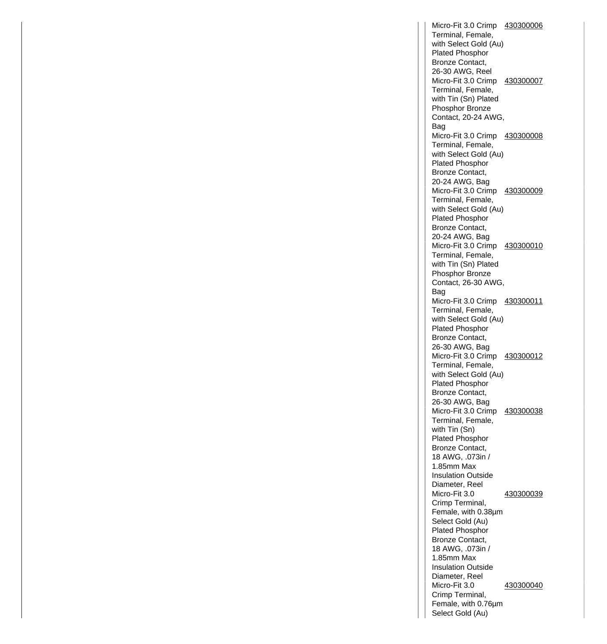Micro-Fit 3.0 Crimp 430300006 Terminal, Female, with Select Gold (Au) Plated Phosphor Bronze Contact, 26-30 AWG, Reel Micro-Fit 3.0 Crimp 430300007 Terminal, Female, with Tin (Sn) Plated Phosphor Bronze Contact, 20-24 AWG, Bag Micro-Fit 3.0 Crimp 430300008 Terminal, Female, with Select Gold (Au) Plated Phosphor Bronze Contact, 20-24 AWG, Bag Micro-Fit 3.0 Crimp 430300009 Terminal, Female, with Select Gold (Au) Plated Phosphor Bronze Contact, 20-24 AWG, Bag Micro-Fit 3.0 Crimp 430300010 Terminal, Female, with Tin (Sn) Plated Phosphor Bronze Contact, 26-30 AWG, Bag Micro-Fit 3.0 Crimp 430300011 Terminal, Female, with Select Gold (Au) Plated Phosphor Bronze Contact, 26-30 AWG, Bag Micro-Fit 3.0 Crimp 430300012 Terminal, Female, with Select Gold (Au) Plated Phosphor Bronze Contact, 26-30 AWG, Bag Micro-Fit 3.0 Crimp 430300038 Terminal, Female, with Tin (Sn) Plated Phosphor Bronze Contact, 18 AWG, .073in / 1.85mm Max Insulation Outside Diameter, Reel Micro-Fit 3.0 Crimp Terminal, Female, with 0.38µm Select Gold (Au) Plated Phosphor Bronze Contact, 18 AWG, .073in / 1.85mm Max Insulation Outside Diameter, Reel 430300039 Micro-Fit 3.0 Crimp Terminal, Female, with 0.76µm Select Gold (Au) 430300040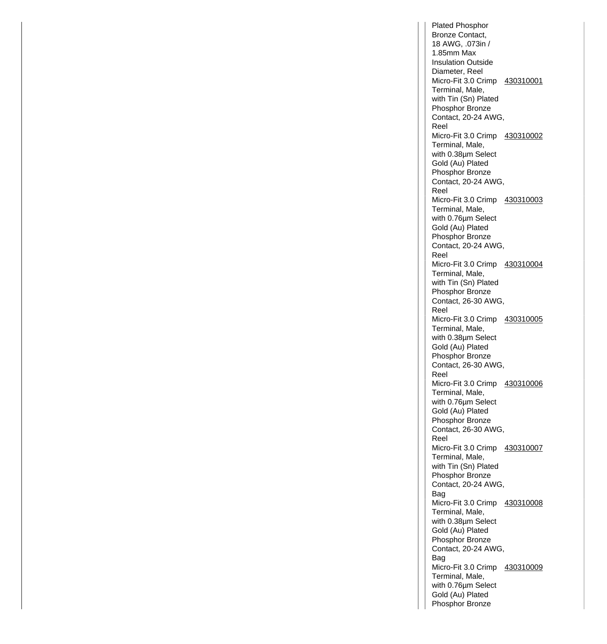Plated Phosphor Bronze Contact, 18 AWG, .073in / 1.85mm Max Insulation Outside Diameter, Reel Micro-Fit 3.0 Crimp 430310001 Terminal, Male, with Tin (Sn) Plated Phosphor Bronze Contact, 20-24 AWG, Reel Micro-Fit 3.0 Crimp 430310002 Terminal, Male, with 0.38µm Select Gold (Au) Plated Phosphor Bronze Contact, 20-24 AWG, Reel Micro-Fit 3.0 Crimp 430310003 Terminal, Male, with 0.76µm Select Gold (Au) Plated Phosphor Bronze Contact, 20-24 AWG, Reel Micro-Fit 3.0 Crimp 430310004 Terminal, Male, with Tin (Sn) Plated Phosphor Bronze Contact, 26-30 AWG, Reel Micro-Fit 3.0 Crimp 430310005 Terminal, Male, with 0.38µm Select Gold (Au) Plated Phosphor Bronze Contact, 26-30 AWG, Reel Micro-Fit 3.0 Crimp 430310006 Terminal, Male, with 0.76µm Select Gold (Au) Plated Phosphor Bronze Contact, 26-30 AWG, Reel Micro-Fit 3.0 Crimp 430310007 Terminal, Male, with Tin (Sn) Plated Phosphor Bronze Contact, 20-24 AWG, Bag Micro-Fit 3.0 Crimp 430310008 Terminal, Male, with 0.38µm Select Gold (Au) Plated Phosphor Bronze Contact, 20-24 AWG, Bag Micro-Fit 3.0 Crimp 430310009 Terminal, Male, with 0.76µm Select Gold (Au) Plated Phosphor Bronze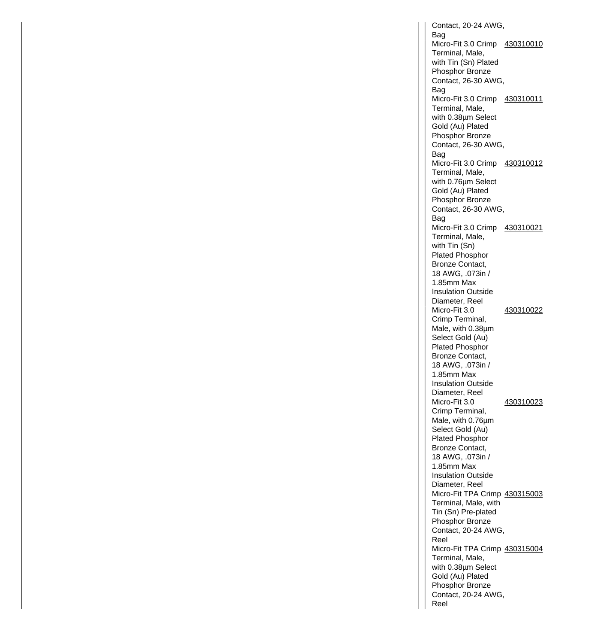Contact, 20-24 AWG, Bag Micro-Fit 3.0 Crimp 430310010 Terminal, Male, with Tin (Sn) Plated Phosphor Bronze Contact, 26-30 AWG, Bag Micro-Fit 3.0 Crimp 430310011 Terminal, Male, with 0.38µm Select Gold (Au) Plated Phosphor Bronze Contact, 26-30 AWG, Bag Micro-Fit 3.0 Crimp 430310012 Terminal, Male, with 0.76µm Select Gold (Au) Plated Phosphor Bronze Contact, 26-30 AWG, Bag Micro-Fit 3.0 Crimp 430310021 Terminal, Male, with Tin (Sn) Plated Phosphor Bronze Contact, 18 AWG, .073in / 1.85mm Max Insulation Outside Diameter, Reel Micro-Fit 3.0 Crimp Terminal, Male, with 0.38µm Select Gold (Au) Plated Phosphor Bronze Contact, 18 AWG, .073in / 1.85mm Max Insulation Outside Diameter, Reel 430310022 Micro-Fit 3.0 Crimp Terminal, Male, with 0.76µm Select Gold (Au) Plated Phosphor Bronze Contact, 18 AWG, .073in / 1.85mm Max Insulation Outside Diameter, Reel 430310023 Micro-Fit TPA Crimp 430315003 Terminal, Male, with Tin (Sn) Pre-plated Phosphor Bronze Contact, 20-24 AWG, Reel Micro-Fit TPA Crimp 430315004 Terminal, Male, with 0.38µm Select Gold (Au) Plated Phosphor Bronze Contact, 20-24 AWG, Reel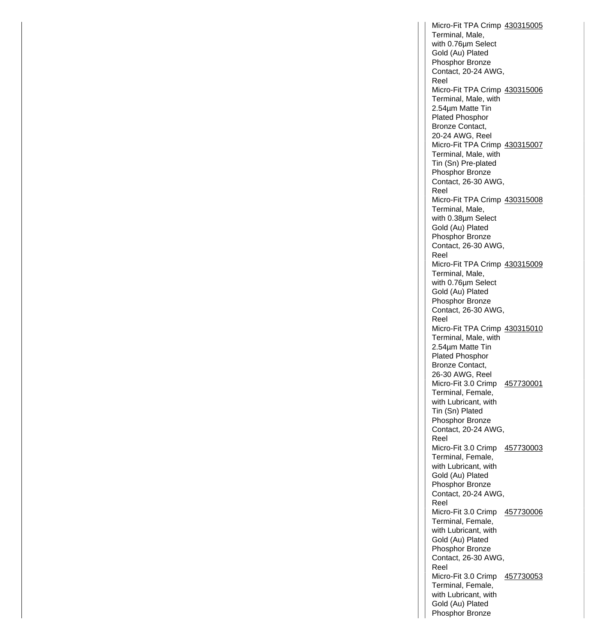Micro-Fit TPA Crimp 430315005 Terminal, Male, with 0.76µm Select Gold (Au) Plated Phosphor Bronze Contact, 20-24 AWG, Reel Micro-Fit TPA Crimp 430315006 Terminal, Male, with 2.54µm Matte Tin Plated Phosphor Bronze Contact, 20-24 AWG, Reel Micro-Fit TPA Crimp 430315007 Terminal, Male, with Tin (Sn) Pre-plated Phosphor Bronze Contact, 26-30 AWG, Reel Micro-Fit TPA Crimp 430315008 Terminal, Male, with 0.38µm Select Gold (Au) Plated Phosphor Bronze Contact, 26-30 AWG, Reel Micro-Fit TPA Crimp 430315009 Terminal, Male, with 0.76µm Select Gold (Au) Plated Phosphor Bronze Contact, 26-30 AWG, Reel Micro-Fit TPA Crimp 430315010 Terminal, Male, with 2.54µm Matte Tin Plated Phosphor Bronze Contact, 26-30 AWG, Reel Micro-Fit 3.0 Crimp 457730001 Terminal, Female, with Lubricant, with Tin (Sn) Plated Phosphor Bronze Contact, 20-24 AWG, Reel Micro-Fit 3.0 Crimp 457730003 Terminal, Female, with Lubricant, with Gold (Au) Plated Phosphor Bronze Contact, 20-24 AWG, Reel Micro-Fit 3.0 Crimp 457730006 Terminal, Female, with Lubricant, with Gold (Au) Plated Phosphor Bronze Contact, 26-30 AWG, Reel Micro-Fit 3.0 Crimp 457730053 Terminal, Female, with Lubricant, with Gold (Au) Plated Phosphor Bronze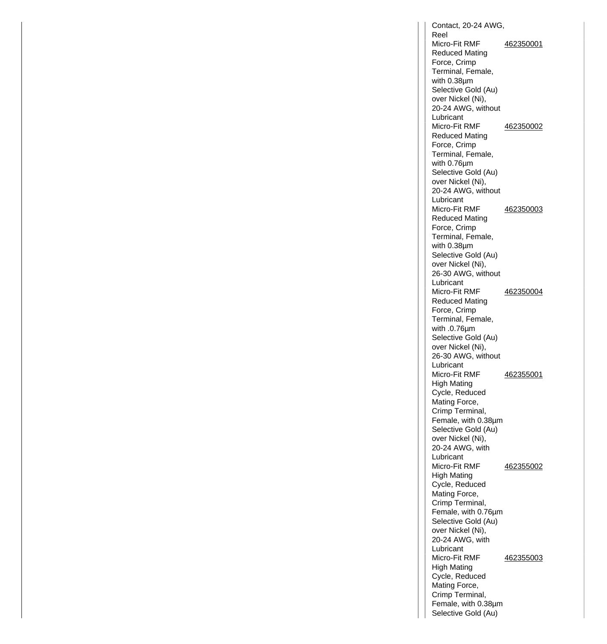Contact, 20-24 AWG, Reel Micro-Fit RMF Reduced Mating Force, Crimp Terminal, Female, with 0.38µm Selective Gold (Au) over Nickel (Ni), 20-24 AWG, without Lubricant 462350001 Micro-Fit RMF Reduced Mating Force, Crimp Terminal, Female, with 0.76µm Selective Gold (Au) over Nickel (Ni), 20-24 AWG, without Lubricant 462350002 Micro-Fit RMF Reduced Mating Force, Crimp Terminal, Female, with 0.38µm Selective Gold (Au) over Nickel (Ni), 26-30 AWG, without Lubricant 462350003 Micro-Fit RMF Reduced Mating Force, Crimp Terminal, Female, with .0.76µm Selective Gold (Au) over Nickel (Ni), 26-30 AWG, without Lubricant 462350004 Micro-Fit RMF High Mating Cycle, Reduced Mating Force, Crimp Terminal, Female, with 0.38µm Selective Gold (Au) over Nickel (Ni), 20-24 AWG, with Lubricant 462355001 Micro-Fit RMF High Mating Cycle, Reduced Mating Force, Crimp Terminal, Female, with 0.76µm Selective Gold (Au) over Nickel (Ni), 20-24 AWG, with Lubricant 462355002 Micro-Fit RMF High Mating Cycle, Reduced Mating Force, Crimp Terminal, Female, with 0.38µm Selective Gold (Au) 462355003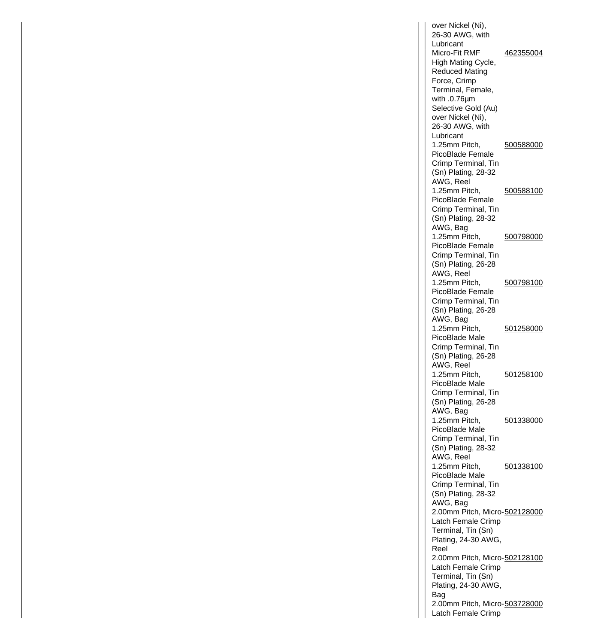over Nickel (Ni), 26-30 AWG, with Lubricant Micro-Fit RMF High Mating Cycle, Reduced Mating Force, Crimp Terminal, Female, with .0.76µm Selective Gold (Au) over Nickel (Ni), 26-30 AWG, with Lubricant 462355004 1.25mm Pitch, PicoBlade Female Crimp Terminal, Tin (Sn) Plating, 28-32 AWG, Reel 500588000 1.25mm Pitch, PicoBlade Female Crimp Terminal, Tin (Sn) Plating, 28-32 AWG, Bag 500588100 1.25mm Pitch, PicoBlade Female Crimp Terminal, Tin (Sn) Plating, 26-28 AWG, Reel 500798000 1.25mm Pitch, PicoBlade Female Crimp Terminal, Tin (Sn) Plating, 26-28 AWG, Bag 500798100 1.25mm Pitch, PicoBlade Male Crimp Terminal, Tin (Sn) Plating, 26-28 AWG, Reel 501258000 1.25mm Pitch, PicoBlade Male Crimp Terminal, Tin (Sn) Plating, 26-28 AWG, Bag 501258100 1.25mm Pitch, PicoBlade Male Crimp Terminal, Tin (Sn) Plating, 28-32 AWG, Reel 501338000 1.25mm Pitch, PicoBlade Male Crimp Terminal, Tin (Sn) Plating, 28-32 AWG, Bag 501338100 2.00mm Pitch, Micro-502128000 Latch Female Crimp Terminal, Tin (Sn) Plating, 24-30 AWG, Reel 2.00mm Pitch, Micro-502128100 Latch Female Crimp Terminal, Tin (Sn) Plating, 24-30 AWG, Bag 2.00mm Pitch, Micro-503728000Latch Female Crimp